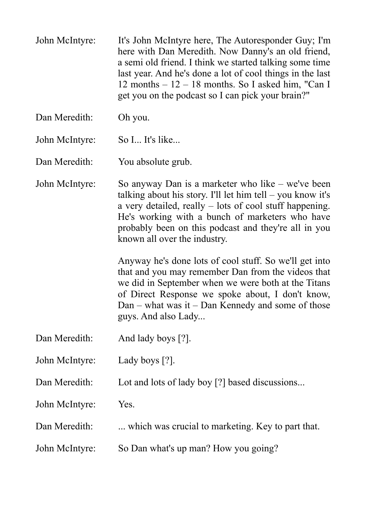John McIntyre: It's John McIntyre here, The Autoresponder Guy; I'm here with Dan Meredith. Now Danny's an old friend, a semi old friend. I think we started talking some time last year. And he's done a lot of cool things in the last 12 months – 12 – 18 months. So I asked him, "Can I get you on the podcast so I can pick your brain?"

Dan Meredith: Oh you.

John McIntyre: So I... It's like...

Dan Meredith: You absolute grub.

John McIntyre: So anyway Dan is a marketer who like – we've been talking about his story. I'll let him tell  $-$  you know it's a very detailed, really – lots of cool stuff happening. He's working with a bunch of marketers who have probably been on this podcast and they're all in you known all over the industry.

> Anyway he's done lots of cool stuff. So we'll get into that and you may remember Dan from the videos that we did in September when we were both at the Titans of Direct Response we spoke about, I don't know, Dan – what was it – Dan Kennedy and some of those guys. And also Lady...

- Dan Meredith: And lady boys [?].
- John McIntyre: Lady boys [?].
- Dan Meredith: Lot and lots of lady boy [?] based discussions...

John McIntyre: Yes.

Dan Meredith: ... which was crucial to marketing. Key to part that.

John McIntyre: So Dan what's up man? How you going?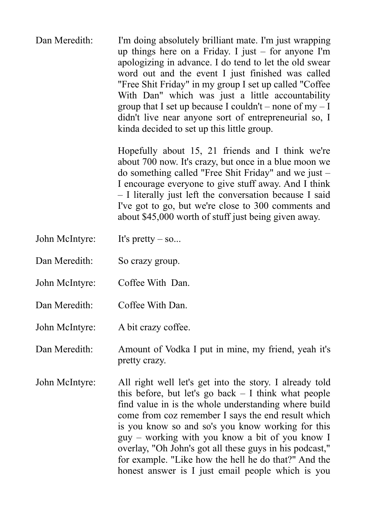Dan Meredith: I'm doing absolutely brilliant mate. I'm just wrapping up things here on a Friday. I just – for anyone I'm apologizing in advance. I do tend to let the old swear word out and the event I just finished was called "Free Shit Friday" in my group I set up called "Coffee With Dan" which was just a little accountability group that I set up because I couldn't – none of  $my - I$ didn't live near anyone sort of entrepreneurial so, I kinda decided to set up this little group.

> Hopefully about 15, 21 friends and I think we're about 700 now. It's crazy, but once in a blue moon we do something called "Free Shit Friday" and we just – I encourage everyone to give stuff away. And I think – I literally just left the conversation because I said I've got to go, but we're close to 300 comments and about \$45,000 worth of stuff just being given away.

- John McIntyre: It's pretty so...
- Dan Meredith: So crazy group.
- John McIntyre: Coffee With Dan.
- Dan Meredith: Coffee With Dan.

John McIntyre: A bit crazy coffee.

Dan Meredith: Amount of Vodka I put in mine, my friend, yeah it's pretty crazy.

John McIntyre: All right well let's get into the story. I already told this before, but let's go back  $-$  I think what people find value in is the whole understanding where build come from coz remember I says the end result which is you know so and so's you know working for this guy – working with you know a bit of you know I overlay, "Oh John's got all these guys in his podcast," for example. "Like how the hell he do that?" And the honest answer is I just email people which is you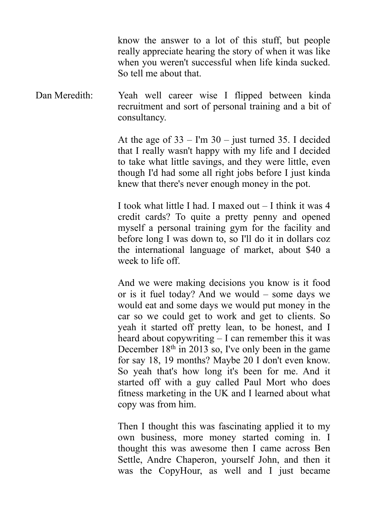know the answer to a lot of this stuff, but people really appreciate hearing the story of when it was like when you weren't successful when life kinda sucked. So tell me about that.

Dan Meredith: Yeah well career wise I flipped between kinda recruitment and sort of personal training and a bit of consultancy.

> At the age of  $33 - \text{Im } 30 - \text{just turned } 35$ . I decided that I really wasn't happy with my life and I decided to take what little savings, and they were little, even though I'd had some all right jobs before I just kinda knew that there's never enough money in the pot.

> I took what little I had. I maxed out – I think it was 4 credit cards? To quite a pretty penny and opened myself a personal training gym for the facility and before long I was down to, so I'll do it in dollars coz the international language of market, about \$40 a week to life off.

> And we were making decisions you know is it food or is it fuel today? And we would – some days we would eat and some days we would put money in the car so we could get to work and get to clients. So yeah it started off pretty lean, to be honest, and I heard about copywriting – I can remember this it was December 18<sup>th</sup> in 2013 so, I've only been in the game for say 18, 19 months? Maybe 20 I don't even know. So yeah that's how long it's been for me. And it started off with a guy called Paul Mort who does fitness marketing in the UK and I learned about what copy was from him.

> Then I thought this was fascinating applied it to my own business, more money started coming in. I thought this was awesome then I came across Ben Settle, Andre Chaperon, yourself John, and then it was the CopyHour, as well and I just became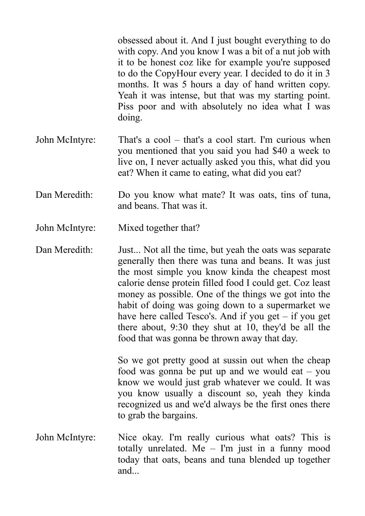obsessed about it. And I just bought everything to do with copy. And you know I was a bit of a nut job with it to be honest coz like for example you're supposed to do the CopyHour every year. I decided to do it in 3 months. It was 5 hours a day of hand written copy. Yeah it was intense, but that was my starting point. Piss poor and with absolutely no idea what I was doing.

- John McIntyre: That's a cool that's a cool start. I'm curious when you mentioned that you said you had \$40 a week to live on, I never actually asked you this, what did you eat? When it came to eating, what did you eat?
- Dan Meredith: Do you know what mate? It was oats, tins of tuna, and beans. That was it.
- John McIntyre: Mixed together that?
- Dan Meredith: Just... Not all the time, but yeah the oats was separate generally then there was tuna and beans. It was just the most simple you know kinda the cheapest most calorie dense protein filled food I could get. Coz least money as possible. One of the things we got into the habit of doing was going down to a supermarket we have here called Tesco's. And if you get – if you get there about, 9:30 they shut at 10, they'd be all the food that was gonna be thrown away that day.

So we got pretty good at sussin out when the cheap food was gonna be put up and we would eat  $-$  you know we would just grab whatever we could. It was you know usually a discount so, yeah they kinda recognized us and we'd always be the first ones there to grab the bargains.

John McIntyre: Nice okay. I'm really curious what oats? This is totally unrelated. Me – I'm just in a funny mood today that oats, beans and tuna blended up together and...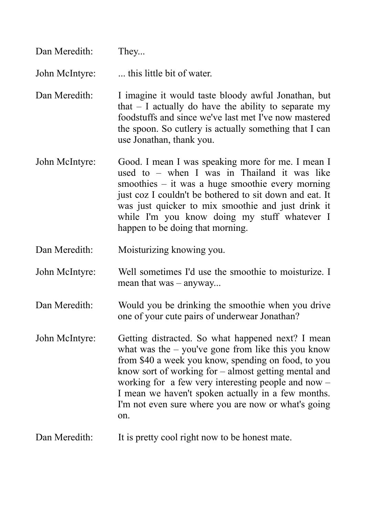| Dan Meredith:  | They                                                                                                                                                                                                                                                                                                                                                                                                    |
|----------------|---------------------------------------------------------------------------------------------------------------------------------------------------------------------------------------------------------------------------------------------------------------------------------------------------------------------------------------------------------------------------------------------------------|
| John McIntyre: | this little bit of water.                                                                                                                                                                                                                                                                                                                                                                               |
| Dan Meredith:  | I imagine it would taste bloody awful Jonathan, but<br>that $-$ I actually do have the ability to separate my<br>foodstuffs and since we've last met I've now mastered<br>the spoon. So cutlery is actually something that I can<br>use Jonathan, thank you.                                                                                                                                            |
| John McIntyre: | Good. I mean I was speaking more for me. I mean I<br>used to $-$ when I was in Thailand it was like<br>smoothies $-$ it was a huge smoothie every morning<br>just coz I couldn't be bothered to sit down and eat. It<br>was just quicker to mix smoothie and just drink it<br>while I'm you know doing my stuff whatever I<br>happen to be doing that morning.                                          |
| Dan Meredith:  | Moisturizing knowing you.                                                                                                                                                                                                                                                                                                                                                                               |
| John McIntyre: | Well sometimes I'd use the smoothie to moisturize. I<br>mean that $was - anyway$                                                                                                                                                                                                                                                                                                                        |
| Dan Meredith:  | Would you be drinking the smoothie when you drive<br>one of your cute pairs of underwear Jonathan?                                                                                                                                                                                                                                                                                                      |
| John McIntyre: | Getting distracted. So what happened next? I mean<br>what was the $-$ you've gone from like this you know<br>from \$40 a week you know, spending on food, to you<br>know sort of working for $-$ almost getting mental and<br>working for a few very interesting people and now $-$<br>I mean we haven't spoken actually in a few months.<br>I'm not even sure where you are now or what's going<br>on. |

Dan Meredith: It is pretty cool right now to be honest mate.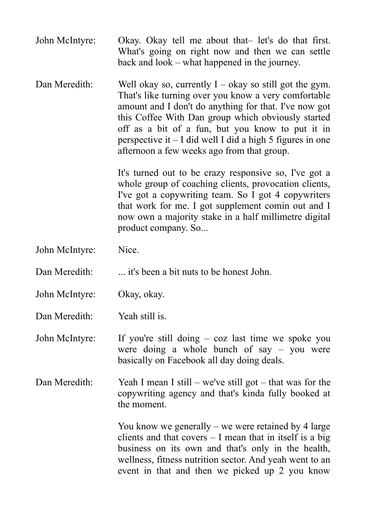- John McIntyre: Okay. Okay tell me about that– let's do that first. What's going on right now and then we can settle back and look – what happened in the journey.
- Dan Meredith: Well okay so, currently  $I okay$  so still got the gym. That's like turning over you know a very comfortable amount and I don't do anything for that. I've now got this Coffee With Dan group which obviously started off as a bit of a fun, but you know to put it in perspective it  $-1$  did well I did a high 5 figures in one afternoon a few weeks ago from that group.

It's turned out to be crazy responsive so, I've got a whole group of coaching clients, provocation clients, I've got a copywriting team. So I got 4 copywriters that work for me. I got supplement comin out and I now own a majority stake in a half millimetre digital product company. So...

- John McIntyre: Nice.
- Dan Meredith: ... it's been a bit nuts to be honest John.
- John McIntyre: Okay, okay.
- Dan Meredith: Yeah still is

John McIntyre: If you're still doing – coz last time we spoke you were doing a whole bunch of say – you were basically on Facebook all day doing deals.

Dan Meredith: Yeah I mean I still – we've still got – that was for the copywriting agency and that's kinda fully booked at the moment.

> You know we generally – we were retained by 4 large clients and that covers – I mean that in itself is a big business on its own and that's only in the health, wellness, fitness nutrition sector. And yeah went to an event in that and then we picked up 2 you know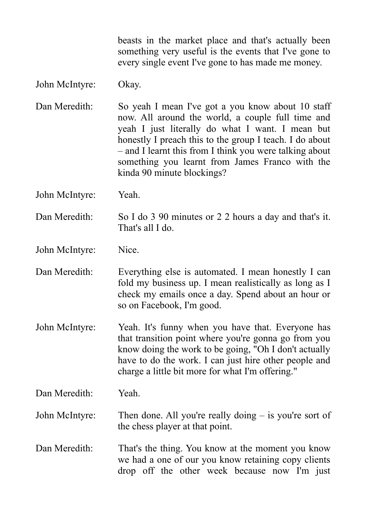beasts in the market place and that's actually been something very useful is the events that I've gone to every single event I've gone to has made me money.

## John McIntyre: Okay.

Dan Meredith: So yeah I mean I've got a you know about 10 staff now. All around the world, a couple full time and yeah I just literally do what I want. I mean but honestly I preach this to the group I teach. I do about – and I learnt this from I think you were talking about something you learnt from James Franco with the kinda 90 minute blockings?

John McIntyre: Yeah.

Dan Meredith: So I do 3 90 minutes or 2 2 hours a day and that's it. That's all I do.

John McIntyre: Nice.

Dan Meredith: Everything else is automated. I mean honestly I can fold my business up. I mean realistically as long as I check my emails once a day. Spend about an hour or so on Facebook, I'm good.

John McIntyre: Yeah. It's funny when you have that. Everyone has that transition point where you're gonna go from you know doing the work to be going, "Oh I don't actually have to do the work. I can just hire other people and charge a little bit more for what I'm offering."

Dan Meredith: Yeah.

John McIntyre: Then done. All you're really doing – is you're sort of the chess player at that point.

Dan Meredith: That's the thing. You know at the moment you know we had a one of our you know retaining copy clients drop off the other week because now I'm just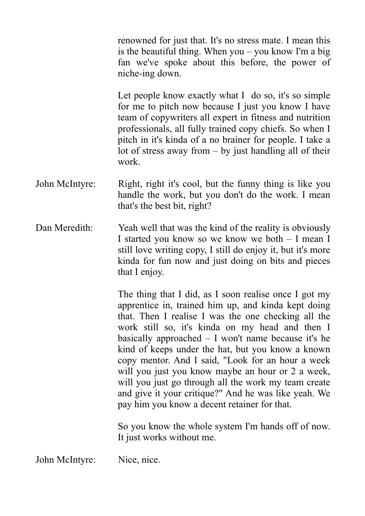renowned for just that. It's no stress mate. I mean this is the beautiful thing. When you – you know I'm a big fan we've spoke about this before, the power of niche-ing down.

Let people know exactly what I do so, it's so simple for me to pitch now because I just you know I have team of copywriters all expert in fitness and nutrition professionals, all fully trained copy chiefs. So when I pitch in it's kinda of a no brainer for people. I take a lot of stress away from  $-$  by just handling all of their work.

- John McIntyre: Right, right it's cool, but the funny thing is like you handle the work, but you don't do the work. I mean that's the best bit, right?
- Dan Meredith: Yeah well that was the kind of the reality is obviously I started you know so we know we both – I mean I still love writing copy, I still do enjoy it, but it's more kinda for fun now and just doing on bits and pieces that I enjoy.

The thing that I did, as I soon realise once I got my apprentice in, trained him up, and kinda kept doing that. Then I realise I was the one checking all the work still so, it's kinda on my head and then I basically approached – I won't name because it's he kind of keeps under the hat, but you know a known copy mentor. And I said, "Look for an hour a week will you just you know maybe an hour or 2 a week, will you just go through all the work my team create and give it your critique?" And he was like yeah. We pay him you know a decent retainer for that.

So you know the whole system I'm hands off of now. It just works without me.

John McIntyre: Nice, nice.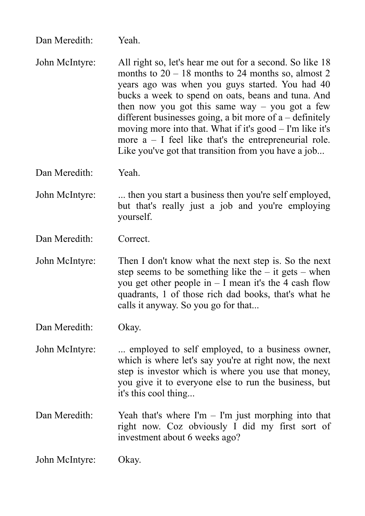Dan Meredith: Yeah.

John McIntyre: All right so, let's hear me out for a second. So like 18 months to  $20 - 18$  months to 24 months so, almost 2 years ago was when you guys started. You had 40 bucks a week to spend on oats, beans and tuna. And then now you got this same way – you got a few different businesses going, a bit more of  $a -$  definitely moving more into that. What if it's good – I'm like it's more  $a - I$  feel like that's the entrepreneurial role. Like you've got that transition from you have a job...

Dan Meredith: Yeah.

John McIntyre: ... then you start a business then you're self employed, but that's really just a job and you're employing yourself.

Dan Meredith: Correct.

John McIntyre: Then I don't know what the next step is. So the next step seems to be something like the  $-$  it gets  $-$  when you get other people in  $-1$  mean it's the 4 cash flow quadrants, 1 of those rich dad books, that's what he calls it anyway. So you go for that...

Dan Meredith: Okay.

- John McIntyre: ... employed to self employed, to a business owner, which is where let's say you're at right now, the next step is investor which is where you use that money, you give it to everyone else to run the business, but it's this cool thing...
- Dan Meredith: Yeah that's where  $\Gamma m \Gamma m$  just morphing into that right now. Coz obviously I did my first sort of investment about 6 weeks ago?

John McIntyre: Okay.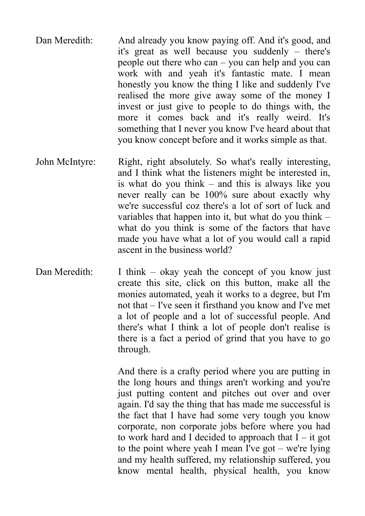- Dan Meredith: And already you know paying off. And it's good, and it's great as well because you suddenly – there's people out there who can – you can help and you can work with and yeah it's fantastic mate. I mean honestly you know the thing I like and suddenly I've realised the more give away some of the money I invest or just give to people to do things with, the more it comes back and it's really weird. It's something that I never you know I've heard about that you know concept before and it works simple as that.
- John McIntyre: Right, right absolutely. So what's really interesting, and I think what the listeners might be interested in, is what do you think – and this is always like you never really can be 100% sure about exactly why we're successful coz there's a lot of sort of luck and variables that happen into it, but what do you think – what do you think is some of the factors that have made you have what a lot of you would call a rapid ascent in the business world?
- Dan Meredith: I think okay yeah the concept of you know just create this site, click on this button, make all the monies automated, yeah it works to a degree, but I'm not that – I've seen it firsthand you know and I've met a lot of people and a lot of successful people. And there's what I think a lot of people don't realise is there is a fact a period of grind that you have to go through.

And there is a crafty period where you are putting in the long hours and things aren't working and you're just putting content and pitches out over and over again. I'd say the thing that has made me successful is the fact that I have had some very tough you know corporate, non corporate jobs before where you had to work hard and I decided to approach that  $I - it$  got to the point where yeah I mean I've got – we're lying and my health suffered, my relationship suffered, you know mental health, physical health, you know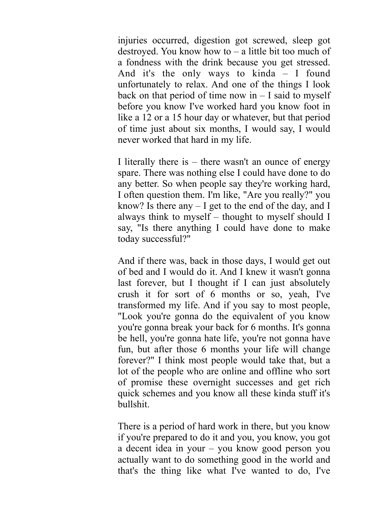injuries occurred, digestion got screwed, sleep got destroyed. You know how to  $-$  a little bit too much of a fondness with the drink because you get stressed. And it's the only ways to kinda – I found unfortunately to relax. And one of the things I look back on that period of time now in  $-1$  said to myself before you know I've worked hard you know foot in like a 12 or a 15 hour day or whatever, but that period of time just about six months, I would say, I would never worked that hard in my life.

I literally there is – there wasn't an ounce of energy spare. There was nothing else I could have done to do any better. So when people say they're working hard, I often question them. I'm like, "Are you really?" you know? Is there any  $-1$  get to the end of the day, and I always think to myself – thought to myself should I say, "Is there anything I could have done to make today successful?"

And if there was, back in those days, I would get out of bed and I would do it. And I knew it wasn't gonna last forever, but I thought if I can just absolutely crush it for sort of 6 months or so, yeah, I've transformed my life. And if you say to most people, "Look you're gonna do the equivalent of you know you're gonna break your back for 6 months. It's gonna be hell, you're gonna hate life, you're not gonna have fun, but after those 6 months your life will change forever?" I think most people would take that, but a lot of the people who are online and offline who sort of promise these overnight successes and get rich quick schemes and you know all these kinda stuff it's bullshit.

There is a period of hard work in there, but you know if you're prepared to do it and you, you know, you got a decent idea in your – you know good person you actually want to do something good in the world and that's the thing like what I've wanted to do, I've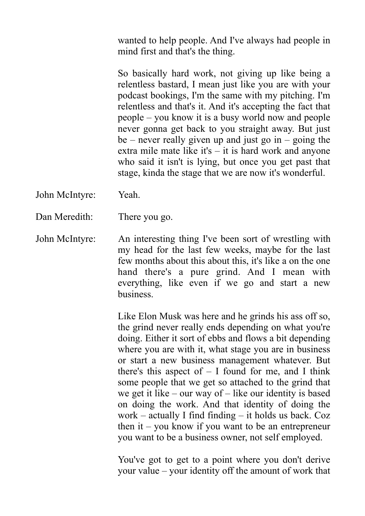wanted to help people. And I've always had people in mind first and that's the thing.

So basically hard work, not giving up like being a relentless bastard, I mean just like you are with your podcast bookings, I'm the same with my pitching. I'm relentless and that's it. And it's accepting the fact that people – you know it is a busy world now and people never gonna get back to you straight away. But just be – never really given up and just go in – going the extra mile mate like it's – it is hard work and anyone who said it isn't is lying, but once you get past that stage, kinda the stage that we are now it's wonderful.

- John McIntyre: Yeah.
- Dan Meredith: There you go.
- John McIntyre: An interesting thing I've been sort of wrestling with my head for the last few weeks, maybe for the last few months about this about this, it's like a on the one hand there's a pure grind. And I mean with everything, like even if we go and start a new business.

Like Elon Musk was here and he grinds his ass off so, the grind never really ends depending on what you're doing. Either it sort of ebbs and flows a bit depending where you are with it, what stage you are in business or start a new business management whatever. But there's this aspect of  $-1$  found for me, and I think some people that we get so attached to the grind that we get it like – our way of – like our identity is based on doing the work. And that identity of doing the work – actually I find finding – it holds us back. Coz then it – you know if you want to be an entrepreneur you want to be a business owner, not self employed.

You've got to get to a point where you don't derive your value – your identity off the amount of work that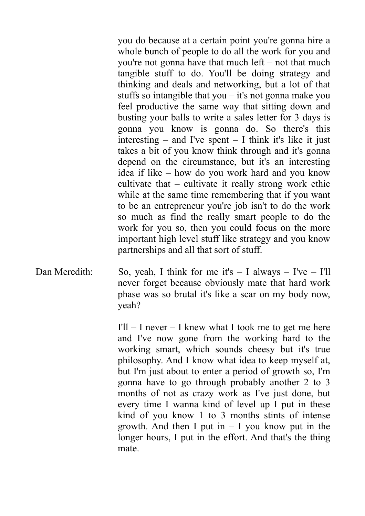you do because at a certain point you're gonna hire a whole bunch of people to do all the work for you and you're not gonna have that much left – not that much tangible stuff to do. You'll be doing strategy and thinking and deals and networking, but a lot of that stuffs so intangible that you  $-$  it's not gonna make you feel productive the same way that sitting down and busting your balls to write a sales letter for 3 days is gonna you know is gonna do. So there's this interesting – and I've spent – I think it's like it just takes a bit of you know think through and it's gonna depend on the circumstance, but it's an interesting idea if like – how do you work hard and you know cultivate that – cultivate it really strong work ethic while at the same time remembering that if you want to be an entrepreneur you're job isn't to do the work so much as find the really smart people to do the work for you so, then you could focus on the more important high level stuff like strategy and you know partnerships and all that sort of stuff.

Dan Meredith: So, yeah, I think for me it's  $- I$  always  $- I'$ ve  $- I'$ ll never forget because obviously mate that hard work phase was so brutal it's like a scar on my body now, yeah?

> $I'll - I$  never  $- I$  knew what I took me to get me here and I've now gone from the working hard to the working smart, which sounds cheesy but it's true philosophy. And I know what idea to keep myself at, but I'm just about to enter a period of growth so, I'm gonna have to go through probably another 2 to 3 months of not as crazy work as I've just done, but every time I wanna kind of level up I put in these kind of you know 1 to 3 months stints of intense growth. And then I put in  $-$  I you know put in the longer hours, I put in the effort. And that's the thing mate.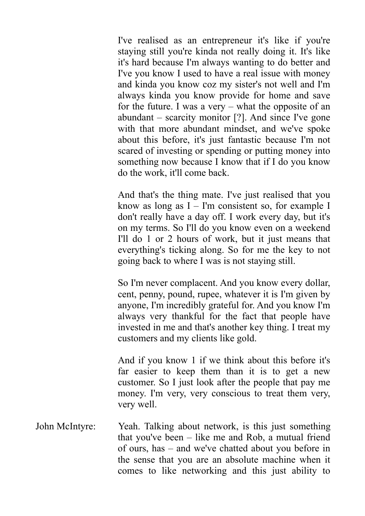I've realised as an entrepreneur it's like if you're staying still you're kinda not really doing it. It's like it's hard because I'm always wanting to do better and I've you know I used to have a real issue with money and kinda you know coz my sister's not well and I'm always kinda you know provide for home and save for the future. I was a very  $-$  what the opposite of an abundant – scarcity monitor [?]. And since I've gone with that more abundant mindset, and we've spoke about this before, it's just fantastic because I'm not scared of investing or spending or putting money into something now because I know that if I do you know do the work, it'll come back.

And that's the thing mate. I've just realised that you know as long as  $I - I'm$  consistent so, for example I don't really have a day off. I work every day, but it's on my terms. So I'll do you know even on a weekend I'll do 1 or 2 hours of work, but it just means that everything's ticking along. So for me the key to not going back to where I was is not staying still.

So I'm never complacent. And you know every dollar, cent, penny, pound, rupee, whatever it is I'm given by anyone, I'm incredibly grateful for. And you know I'm always very thankful for the fact that people have invested in me and that's another key thing. I treat my customers and my clients like gold.

And if you know 1 if we think about this before it's far easier to keep them than it is to get a new customer. So I just look after the people that pay me money. I'm very, very conscious to treat them very, very well.

John McIntyre: Yeah. Talking about network, is this just something that you've been – like me and Rob, a mutual friend of ours, has – and we've chatted about you before in the sense that you are an absolute machine when it comes to like networking and this just ability to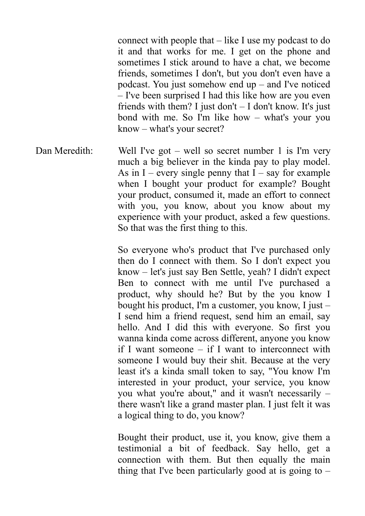connect with people that – like I use my podcast to do it and that works for me. I get on the phone and sometimes I stick around to have a chat, we become friends, sometimes I don't, but you don't even have a podcast. You just somehow end up – and I've noticed – I've been surprised I had this like how are you even friends with them? I just don't  $-$  I don't know. It's just bond with me. So I'm like how – what's your you know – what's your secret?

Dan Meredith: Well I've got – well so secret number 1 is I'm very much a big believer in the kinda pay to play model. As in I – every single penny that  $I$  – say for example when I bought your product for example? Bought your product, consumed it, made an effort to connect with you, you know, about you know about my experience with your product, asked a few questions. So that was the first thing to this.

> So everyone who's product that I've purchased only then do I connect with them. So I don't expect you know – let's just say Ben Settle, yeah? I didn't expect Ben to connect with me until I've purchased a product, why should he? But by the you know I bought his product, I'm a customer, you know, I just – I send him a friend request, send him an email, say hello. And I did this with everyone. So first you wanna kinda come across different, anyone you know if I want someone – if I want to interconnect with someone I would buy their shit. Because at the very least it's a kinda small token to say, "You know I'm interested in your product, your service, you know you what you're about," and it wasn't necessarily – there wasn't like a grand master plan. I just felt it was a logical thing to do, you know?

> Bought their product, use it, you know, give them a testimonial a bit of feedback. Say hello, get a connection with them. But then equally the main thing that I've been particularly good at is going to  $-$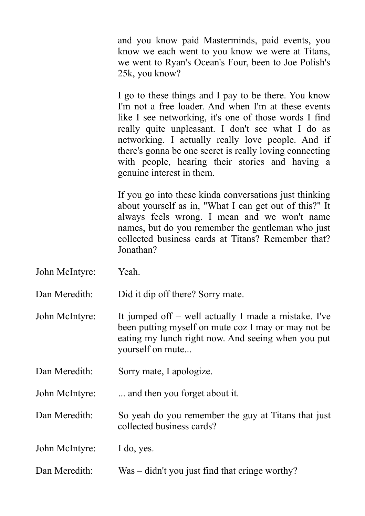and you know paid Masterminds, paid events, you know we each went to you know we were at Titans, we went to Ryan's Ocean's Four, been to Joe Polish's 25k, you know?

I go to these things and I pay to be there. You know I'm not a free loader. And when I'm at these events like I see networking, it's one of those words I find really quite unpleasant. I don't see what I do as networking. I actually really love people. And if there's gonna be one secret is really loving connecting with people, hearing their stories and having a genuine interest in them.

If you go into these kinda conversations just thinking about yourself as in, "What I can get out of this?" It always feels wrong. I mean and we won't name names, but do you remember the gentleman who just collected business cards at Titans? Remember that? Jonathan?

John McIntyre: Yeah.

Dan Meredith: Did it dip off there? Sorry mate.

- John McIntyre: It jumped off well actually I made a mistake. I've been putting myself on mute coz I may or may not be eating my lunch right now. And seeing when you put yourself on mute...
- Dan Meredith: Sorry mate, I apologize.

John McIntyre: ... and then you forget about it.

Dan Meredith: So yeah do you remember the guy at Titans that just collected business cards?

John McIntyre: I do, yes.

Dan Meredith: Was – didn't you just find that cringe worthy?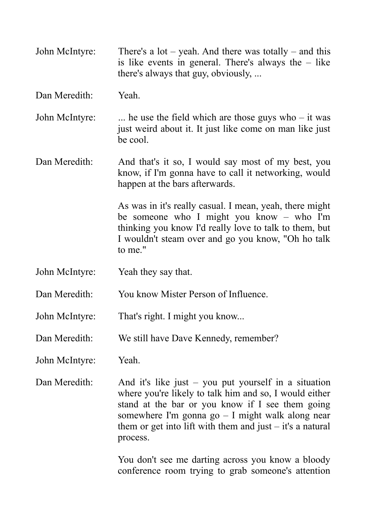John McIntyre: There's a lot – yeah. And there was totally – and this is like events in general. There's always the – like there's always that guy, obviously, ...

Dan Meredith: Yeah.

John McIntyre: ... he use the field which are those guys who  $-$  it was just weird about it. It just like come on man like just be cool.

Dan Meredith: And that's it so, I would say most of my best, you know, if I'm gonna have to call it networking, would happen at the bars afterwards.

> As was in it's really casual. I mean, yeah, there might be someone who I might you know – who I'm thinking you know I'd really love to talk to them, but I wouldn't steam over and go you know, "Oh ho talk to me."

- John McIntyre: Yeah they say that.
- Dan Meredith: You know Mister Person of Influence
- John McIntyre: That's right. I might you know...
- Dan Meredith: We still have Dave Kennedy, remember?
- John McIntyre: Yeah.
- Dan Meredith: And it's like just you put yourself in a situation where you're likely to talk him and so, I would either stand at the bar or you know if I see them going somewhere I'm gonna go – I might walk along near them or get into lift with them and just  $-$  it's a natural process.

You don't see me darting across you know a bloody conference room trying to grab someone's attention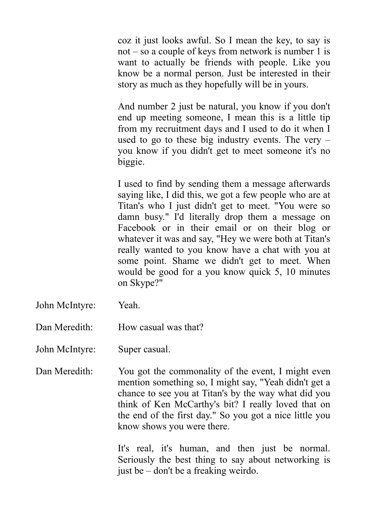coz it just looks awful. So I mean the key, to say is not – so a couple of keys from network is number 1 is want to actually be friends with people. Like you know be a normal person. Just be interested in their story as much as they hopefully will be in yours.

And number 2 just be natural, you know if you don't end up meeting someone, I mean this is a little tip from my recruitment days and I used to do it when I used to go to these big industry events. The very – you know if you didn't get to meet someone it's no biggie.

I used to find by sending them a message afterwards saying like, I did this, we got a few people who are at Titan's who I just didn't get to meet. "You were so damn busy." I'd literally drop them a message on Facebook or in their email or on their blog or whatever it was and say, "Hey we were both at Titan's really wanted to you know have a chat with you at some point. Shame we didn't get to meet. When would be good for a you know quick 5, 10 minutes on Skype?"

John McIntyre: Yeah.

Dan Meredith: How casual was that?

John McIntyre: Super casual.

Dan Meredith: You got the commonality of the event, I might even mention something so, I might say, "Yeah didn't get a chance to see you at Titan's by the way what did you think of Ken McCarthy's bit? I really loved that on the end of the first day." So you got a nice little you know shows you were there.

> It's real, it's human, and then just be normal. Seriously the best thing to say about networking is just be – don't be a freaking weirdo.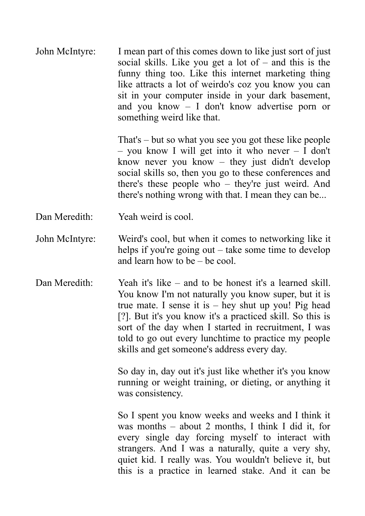John McIntyre: I mean part of this comes down to like just sort of just social skills. Like you get a lot of – and this is the funny thing too. Like this internet marketing thing like attracts a lot of weirdo's coz you know you can sit in your computer inside in your dark basement, and you know – I don't know advertise porn or something weird like that.

> That's – but so what you see you got these like people – you know I will get into it who never –  $\overline{I}$  don't know never you know – they just didn't develop social skills so, then you go to these conferences and there's these people who – they're just weird. And there's nothing wrong with that. I mean they can be...

- Dan Meredith: Yeah weird is cool.
- John McIntyre: Weird's cool, but when it comes to networking like it helps if you're going out – take some time to develop and learn how to be – be cool.
- Dan Meredith: Yeah it's like and to be honest it's a learned skill. You know I'm not naturally you know super, but it is true mate. I sense it is  $-$  hey shut up you! Pig head [?]. But it's you know it's a practiced skill. So this is sort of the day when I started in recruitment, I was told to go out every lunchtime to practice my people skills and get someone's address every day.

So day in, day out it's just like whether it's you know running or weight training, or dieting, or anything it was consistency.

So I spent you know weeks and weeks and I think it was months – about 2 months, I think I did it, for every single day forcing myself to interact with strangers. And I was a naturally, quite a very shy, quiet kid. I really was. You wouldn't believe it, but this is a practice in learned stake. And it can be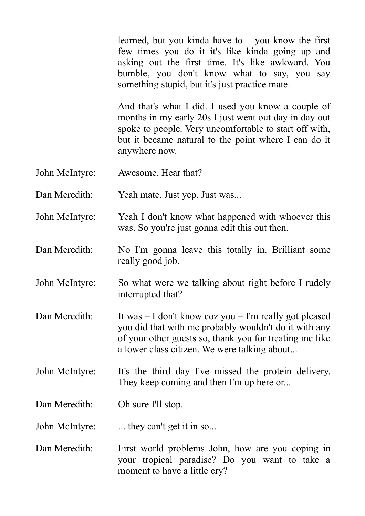learned, but you kinda have to  $-$  you know the first few times you do it it's like kinda going up and asking out the first time. It's like awkward. You bumble, you don't know what to say, you say something stupid, but it's just practice mate.

And that's what I did. I used you know a couple of months in my early 20s I just went out day in day out spoke to people. Very uncomfortable to start off with, but it became natural to the point where I can do it anywhere now.

John McIntyre: Awesome. Hear that?

Dan Meredith: Yeah mate. Just yep. Just was...

John McIntyre: Yeah I don't know what happened with whoever this was. So you're just gonna edit this out then.

- Dan Meredith: No I'm gonna leave this totally in. Brilliant some really good job.
- John McIntyre: So what were we talking about right before I rudely interrupted that?
- Dan Meredith: It was I don't know coz you I'm really got pleased you did that with me probably wouldn't do it with any of your other guests so, thank you for treating me like a lower class citizen. We were talking about...
- John McIntyre: It's the third day I've missed the protein delivery. They keep coming and then I'm up here or...

Dan Meredith: Oh sure I'll stop.

John McIntyre: ... they can't get it in so...

Dan Meredith: First world problems John, how are you coping in your tropical paradise? Do you want to take a moment to have a little cry?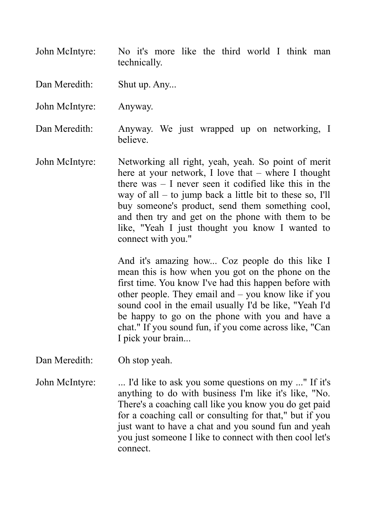John McIntyre: No it's more like the third world I think man technically.

Dan Meredith: Shut up. Any...

John McIntyre: Anyway.

Dan Meredith: Anyway. We just wrapped up on networking, I believe.

John McIntyre: Networking all right, yeah, yeah. So point of merit here at your network, I love that – where I thought there was – I never seen it codified like this in the way of all – to jump back a little bit to these so, I'll buy someone's product, send them something cool, and then try and get on the phone with them to be like, "Yeah I just thought you know I wanted to connect with you."

> And it's amazing how... Coz people do this like I mean this is how when you got on the phone on the first time. You know I've had this happen before with other people. They email and – you know like if you sound cool in the email usually I'd be like, "Yeah I'd be happy to go on the phone with you and have a chat." If you sound fun, if you come across like, "Can I pick your brain...

Dan Meredith: Oh stop yeah.

John McIntyre: ... I'd like to ask you some questions on my ..." If it's anything to do with business I'm like it's like, "No. There's a coaching call like you know you do get paid for a coaching call or consulting for that," but if you just want to have a chat and you sound fun and yeah you just someone I like to connect with then cool let's connect.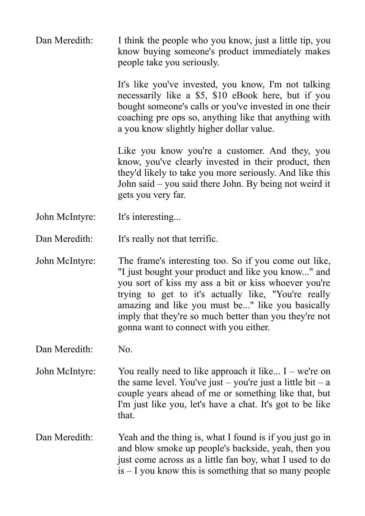Dan Meredith: I think the people who you know, just a little tip, you know buying someone's product immediately makes people take you seriously.

> It's like you've invested, you know, I'm not talking necessarily like a \$5, \$10 eBook here, but if you bought someone's calls or you've invested in one their coaching pre ops so, anything like that anything with a you know slightly higher dollar value.

> Like you know you're a customer. And they, you know, you've clearly invested in their product, then they'd likely to take you more seriously. And like this John said – you said there John. By being not weird it gets you very far.

John McIntyre: It's interesting...

Dan Meredith: It's really not that terrific.

John McIntyre: The frame's interesting too. So if you come out like, "I just bought your product and like you know..." and you sort of kiss my ass a bit or kiss whoever you're trying to get to it's actually like, "You're really amazing and like you must be..." like you basically imply that they're so much better than you they're not gonna want to connect with you either.

Dan Meredith: No.

- John McIntyre: You really need to like approach it like... I we're on the same level. You've just – you're just a little bit – a couple years ahead of me or something like that, but I'm just like you, let's have a chat. It's got to be like that.
- Dan Meredith: Yeah and the thing is, what I found is if you just go in and blow smoke up people's backside, yeah, then you just come across as a little fan boy, what I used to do is – I you know this is something that so many people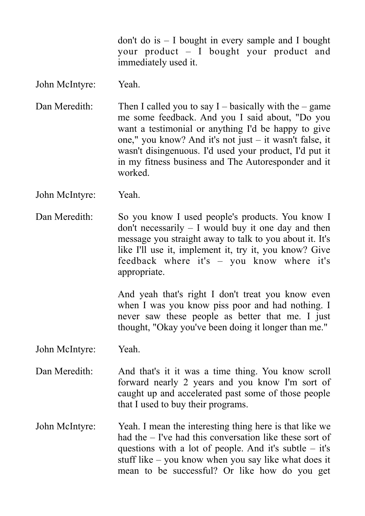don't do is – I bought in every sample and I bought your product – I bought your product and immediately used it.

## John McIntyre: Yeah.

Dan Meredith: Then I called you to say  $I -$  basically with the  $-$  game me some feedback. And you I said about, "Do you want a testimonial or anything I'd be happy to give one," you know? And it's not just – it wasn't false, it wasn't disingenuous. I'd used your product, I'd put it in my fitness business and The Autoresponder and it worked.

John McIntyre: Yeah.

Dan Meredith: So you know I used people's products. You know I don't necessarily – I would buy it one day and then message you straight away to talk to you about it. It's like I'll use it, implement it, try it, you know? Give feedback where it's – you know where it's appropriate.

> And yeah that's right I don't treat you know even when I was you know piss poor and had nothing. I never saw these people as better that me. I just thought, "Okay you've been doing it longer than me."

John McIntyre: Yeah.

- Dan Meredith: And that's it it was a time thing. You know scroll forward nearly 2 years and you know I'm sort of caught up and accelerated past some of those people that I used to buy their programs.
- John McIntyre: Yeah. I mean the interesting thing here is that like we had the – I've had this conversation like these sort of questions with a lot of people. And it's subtle  $-$  it's stuff like – you know when you say like what does it mean to be successful? Or like how do you get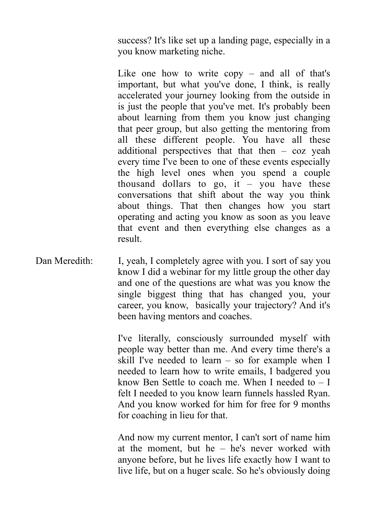success? It's like set up a landing page, especially in a you know marketing niche.

Like one how to write copy – and all of that's important, but what you've done, I think, is really accelerated your journey looking from the outside in is just the people that you've met. It's probably been about learning from them you know just changing that peer group, but also getting the mentoring from all these different people. You have all these additional perspectives that that then  $-$  coz yeah every time I've been to one of these events especially the high level ones when you spend a couple thousand dollars to go, it – you have these conversations that shift about the way you think about things. That then changes how you start operating and acting you know as soon as you leave that event and then everything else changes as a result.

Dan Meredith: I, yeah, I completely agree with you. I sort of say you know I did a webinar for my little group the other day and one of the questions are what was you know the single biggest thing that has changed you, your career, you know, basically your trajectory? And it's been having mentors and coaches.

> I've literally, consciously surrounded myself with people way better than me. And every time there's a skill I've needed to learn – so for example when I needed to learn how to write emails, I badgered you know Ben Settle to coach me. When I needed to – I felt I needed to you know learn funnels hassled Ryan. And you know worked for him for free for 9 months for coaching in lieu for that.

> And now my current mentor, I can't sort of name him at the moment, but he – he's never worked with anyone before, but he lives life exactly how I want to live life, but on a huger scale. So he's obviously doing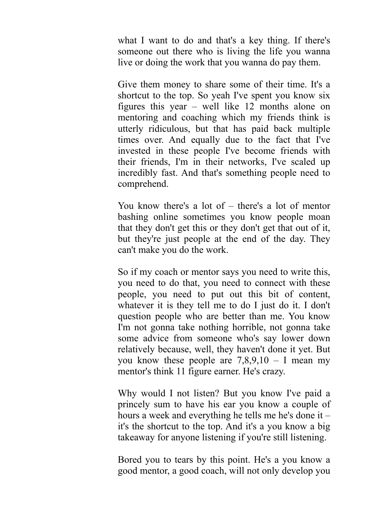what I want to do and that's a key thing. If there's someone out there who is living the life you wanna live or doing the work that you wanna do pay them.

Give them money to share some of their time. It's a shortcut to the top. So yeah I've spent you know six figures this year – well like 12 months alone on mentoring and coaching which my friends think is utterly ridiculous, but that has paid back multiple times over. And equally due to the fact that I've invested in these people I've become friends with their friends, I'm in their networks, I've scaled up incredibly fast. And that's something people need to comprehend.

You know there's a lot of – there's a lot of mentor bashing online sometimes you know people moan that they don't get this or they don't get that out of it, but they're just people at the end of the day. They can't make you do the work.

So if my coach or mentor says you need to write this, you need to do that, you need to connect with these people, you need to put out this bit of content, whatever it is they tell me to do I just do it. I don't question people who are better than me. You know I'm not gonna take nothing horrible, not gonna take some advice from someone who's say lower down relatively because, well, they haven't done it yet. But you know these people are  $7,8,9,10 - 1$  mean my mentor's think 11 figure earner. He's crazy.

Why would I not listen? But you know I've paid a princely sum to have his ear you know a couple of hours a week and everything he tells me he's done it – it's the shortcut to the top. And it's a you know a big takeaway for anyone listening if you're still listening.

Bored you to tears by this point. He's a you know a good mentor, a good coach, will not only develop you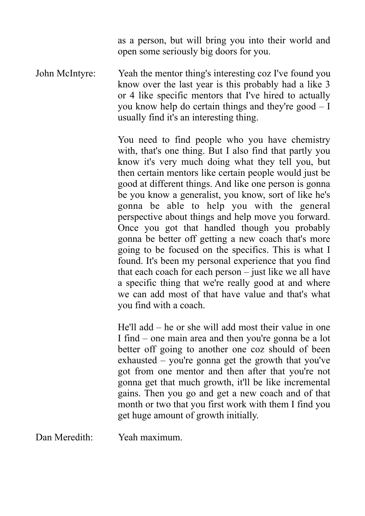as a person, but will bring you into their world and open some seriously big doors for you.

John McIntyre: Yeah the mentor thing's interesting coz I've found you know over the last year is this probably had a like 3 or 4 like specific mentors that I've hired to actually you know help do certain things and they're good – I usually find it's an interesting thing.

> You need to find people who you have chemistry with, that's one thing. But I also find that partly you know it's very much doing what they tell you, but then certain mentors like certain people would just be good at different things. And like one person is gonna be you know a generalist, you know, sort of like he's gonna be able to help you with the general perspective about things and help move you forward. Once you got that handled though you probably gonna be better off getting a new coach that's more going to be focused on the specifics. This is what I found. It's been my personal experience that you find that each coach for each person – just like we all have a specific thing that we're really good at and where we can add most of that have value and that's what you find with a coach.

> He'll add – he or she will add most their value in one I find – one main area and then you're gonna be a lot better off going to another one coz should of been exhausted – you're gonna get the growth that you've got from one mentor and then after that you're not gonna get that much growth, it'll be like incremental gains. Then you go and get a new coach and of that month or two that you first work with them I find you get huge amount of growth initially.

Dan Meredith: Yeah maximum.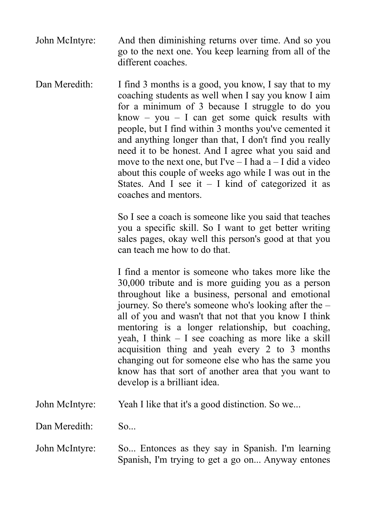- John McIntyre: And then diminishing returns over time. And so you go to the next one. You keep learning from all of the different coaches.
- Dan Meredith: I find 3 months is a good, you know, I say that to my coaching students as well when I say you know I aim for a minimum of 3 because I struggle to do you know – you – I can get some quick results with people, but I find within 3 months you've cemented it and anything longer than that, I don't find you really need it to be honest. And I agree what you said and move to the next one, but I've  $-$  I had a  $-$  I did a video about this couple of weeks ago while I was out in the States. And  $\overrightarrow{I}$  see it – I kind of categorized it as coaches and mentors.

So I see a coach is someone like you said that teaches you a specific skill. So I want to get better writing sales pages, okay well this person's good at that you can teach me how to do that.

I find a mentor is someone who takes more like the 30,000 tribute and is more guiding you as a person throughout like a business, personal and emotional journey. So there's someone who's looking after the – all of you and wasn't that not that you know I think mentoring is a longer relationship, but coaching, yeah, I think – I see coaching as more like a skill acquisition thing and yeah every 2 to 3 months changing out for someone else who has the same you know has that sort of another area that you want to develop is a brilliant idea.

John McIntyre: Yeah I like that it's a good distinction. So we...

Dan Meredith: So...

John McIntyre: So... Entonces as they say in Spanish. I'm learning Spanish, I'm trying to get a go on... Anyway entones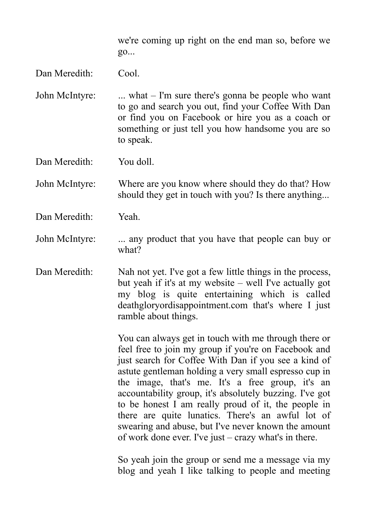we're coming up right on the end man so, before we go...

## Dan Meredith: Cool.

John McIntyre: ... what – I'm sure there's gonna be people who want to go and search you out, find your Coffee With Dan or find you on Facebook or hire you as a coach or something or just tell you how handsome you are so to speak.

Dan Meredith: You doll.

John McIntyre: Where are you know where should they do that? How should they get in touch with you? Is there anything...

Dan Meredith: Yeah.

John McIntyre: ... any product that you have that people can buy or what?

Dan Meredith: Nah not yet. I've got a few little things in the process, but yeah if it's at my website – well I've actually got my blog is quite entertaining which is called deathgloryordisappointment.com that's where I just ramble about things.

> You can always get in touch with me through there or feel free to join my group if you're on Facebook and just search for Coffee With Dan if you see a kind of astute gentleman holding a very small espresso cup in the image, that's me. It's a free group, it's an accountability group, it's absolutely buzzing. I've got to be honest I am really proud of it, the people in there are quite lunatics. There's an awful lot of swearing and abuse, but I've never known the amount of work done ever. I've just – crazy what's in there.

> So yeah join the group or send me a message via my blog and yeah I like talking to people and meeting